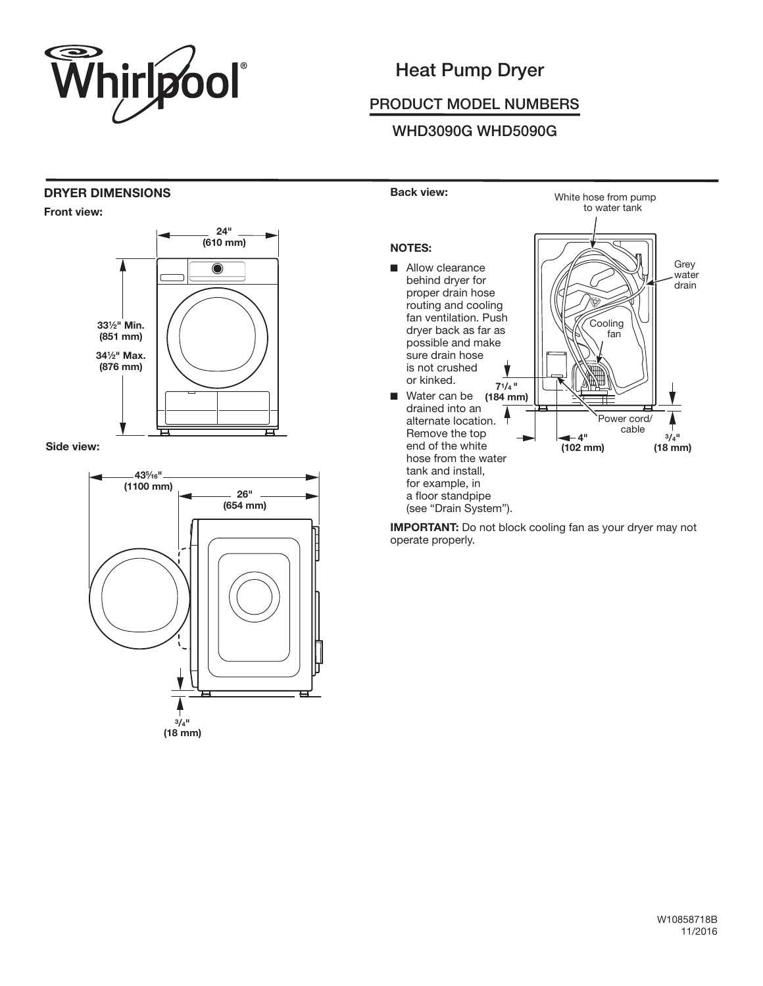

# Heat Pump Dryer

## PRODUCT MODEL NUMBERS

## WHD3090G WHD5090G

#### DRYER DIMENSIONS

Front view:



Side view:





**IMPORTANT:** Do not block cooling fan as your dryer may not operate properly.